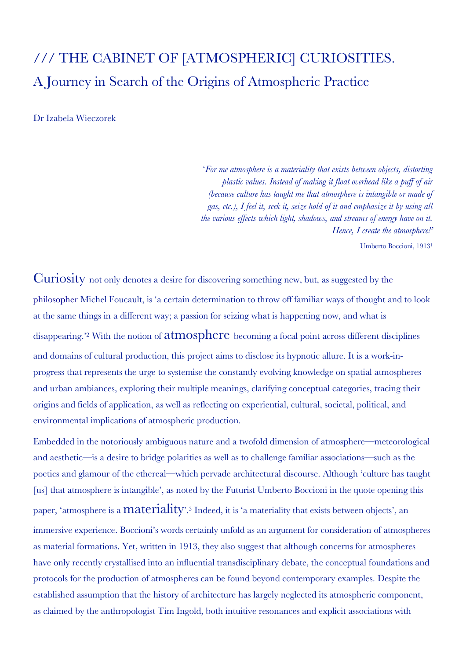## /// THE CABINET OF [ATMOSPHERIC] CURIOSITIES. A Journey in Search of the Origins of Atmospheric Practice

Dr Izabela Wieczorek

'*For me atmosphere is a materiality that exists between objects, distorting plastic values. Instead of making it float overhead like a puff of air (because culture has taught me that atmosphere is intangible or made of gas, etc.), I feel it, seek it, seize hold of it and emphasize it by using all the various effects which light, shadows, and streams of energy have on it. Hence, I create the atmosphere!'*

Umberto Boccioni, 19131

Curiosity not only denotes a desire for discovering something new, but, as suggested by the philosopher Michel Foucault, is 'a certain determination to throw off familiar ways of thought and to look at the same things in a different way; a passion for seizing what is happening now, and what is disappearing.'2 With the notion of atmosphere becoming a focal point across different disciplines and domains of cultural production, this project aims to disclose its hypnotic allure. It is a work-inprogress that represents the urge to systemise the constantly evolving knowledge on spatial atmospheres and urban ambiances, exploring their multiple meanings, clarifying conceptual categories, tracing their origins and fields of application, as well as reflecting on experiential, cultural, societal, political, and environmental implications of atmospheric production.

Embedded in the notoriously ambiguous nature and a twofold dimension of atmosphere—meteorological and aesthetic—is a desire to bridge polarities as well as to challenge familiar associations—such as the poetics and glamour of the ethereal—which pervade architectural discourse. Although 'culture has taught [us] that atmosphere is intangible', as noted by the Futurist Umberto Boccioni in the quote opening this paper, 'atmosphere is a  $\mathrm{materiality}$ '.<sup>3</sup> Indeed, it is 'a materiality that exists between objects', an immersive experience. Boccioni's words certainly unfold as an argument for consideration of atmospheres as material formations. Yet, written in 1913, they also suggest that although concerns for atmospheres have only recently crystallised into an influential transdisciplinary debate, the conceptual foundations and protocols for the production of atmospheres can be found beyond contemporary examples. Despite the established assumption that the history of architecture has largely neglected its atmospheric component, as claimed by the anthropologist Tim Ingold, both intuitive resonances and explicit associations with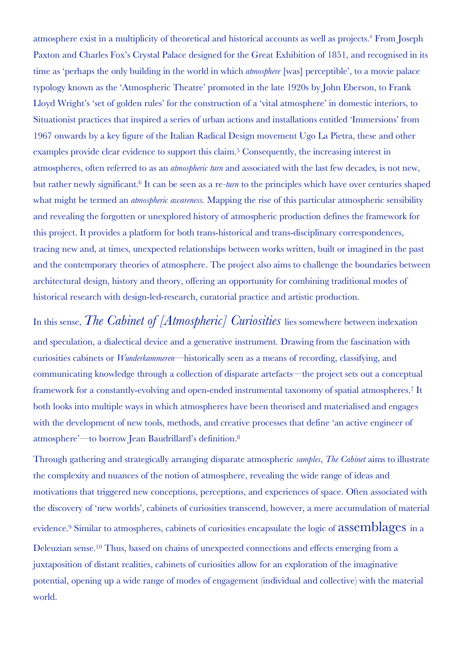atmosphere exist in a multiplicity of theoretical and historical accounts as well as projects.<sup>4</sup> From Joseph Paxton and Charles Fox's Crystal Palace designed for the Great Exhibition of 1851, and recognised in its time as 'perhaps the only building in the world in which *atmosphere* [was] perceptible', to a movie palace typology known as the 'Atmospheric Theatre' promoted in the late 1920s by John Eberson, to Frank Lloyd Wright's 'set of golden rules' for the construction of a 'vital atmosphere' in domestic interiors, to Situationist practices that inspired a series of urban actions and installations entitled 'Immersions' from 1967 onwards by a key figure of the Italian Radical Design movement Ugo La Pietra, these and other examples provide clear evidence to support this claim.<sup>5</sup> Consequently, the increasing interest in atmospheres, often referred to as an *atmospheric turn* and associated with the last few decades*,* is not new, but rather newly significant.6 It can be seen as a re*-turn* to the principles which have over centuries shaped what might be termed an *atmospheric awareness.* Mapping the rise of this particular atmospheric sensibility and revealing the forgotten or unexplored history of atmospheric production defines the framework for this project. It provides a platform for both trans-historical and trans-disciplinary correspondences, tracing new and, at times, unexpected relationships between works written, built or imagined in the past and the contemporary theories of atmosphere. The project also aims to challenge the boundaries between architectural design, history and theory, offering an opportunity for combining traditional modes of historical research with design-led-research, curatorial practice and artistic production.

In this sense, *The Cabinet of [Atmospheric] Curiosities* lies somewhere between indexation and speculation, a dialectical device and a generative instrument. Drawing from the fascination with curiosities cabinets or *Wunderkammeren*—historically seen as a means of recording, classifying, and communicating knowledge through a collection of disparate artefacts—the project sets out a conceptual framework for a constantly-evolving and open-ended instrumental taxonomy of spatial atmospheres.7 It both looks into multiple ways in which atmospheres have been theorised and materialised and engages with the development of new tools, methods, and creative processes that define 'an active engineer of atmosphere'—to borrow Jean Baudrillard's definition.8

Through gathering and strategically arranging disparate atmospheric *samples*, *The Cabinet* aims to illustrate the complexity and nuances of the notion of atmosphere, revealing the wide range of ideas and motivations that triggered new conceptions, perceptions, and experiences of space. Often associated with the discovery of 'new worlds', cabinets of curiosities transcend, however, a mere accumulation of material evidence.9 Similar to atmospheres, cabinets of curiosities encapsulate the logic of assemblages in a Deleuzian sense.10 Thus, based on chains of unexpected connections and effects emerging from a juxtaposition of distant realities, cabinets of curiosities allow for an exploration of the imaginative potential, opening up a wide range of modes of engagement (individual and collective) with the material world.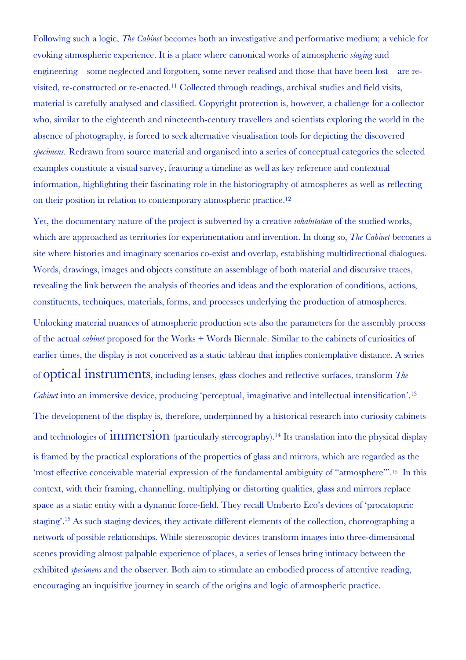Following such a logic, *The Cabinet* becomes both an investigative and performative medium; a vehicle for evoking atmospheric experience. It is a place where canonical works of atmospheric *staging* and engineering—some neglected and forgotten, some never realised and those that have been lost—are revisited, re-constructed or re-enacted.11 Collected through readings, archival studies and field visits, material is carefully analysed and classified. Copyright protection is, however, a challenge for a collector who, similar to the eighteenth and nineteenth-century travellers and scientists exploring the world in the absence of photography, is forced to seek alternative visualisation tools for depicting the discovered *specimens.* Redrawn from source material and organised into a series of conceptual categories the selected examples constitute a visual survey, featuring a timeline as well as key reference and contextual information, highlighting their fascinating role in the historiography of atmospheres as well as reflecting on their position in relation to contemporary atmospheric practice.12

Yet, the documentary nature of the project is subverted by a creative *inhabitation* of the studied works, which are approached as territories for experimentation and invention. In doing so, *The Cabinet* becomes a site where histories and imaginary scenarios co-exist and overlap, establishing multidirectional dialogues. Words, drawings, images and objects constitute an assemblage of both material and discursive traces, revealing the link between the analysis of theories and ideas and the exploration of conditions, actions, constituents, techniques, materials, forms, and processes underlying the production of atmospheres.

Unlocking material nuances of atmospheric production sets also the parameters for the assembly process of the actual *cabinet* proposed for the Works + Words Biennale. Similar to the cabinets of curiosities of earlier times, the display is not conceived as a static tableau that implies contemplative distance. A series of optical instruments, including lenses, glass cloches and reflective surfaces, transform *The Cabinet* into an immersive device, producing 'perceptual, imaginative and intellectual intensification'.<sup>13</sup> The development of the display is, therefore, underpinned by a historical research into curiosity cabinets and technologies of **immersion** (particularly stereography).<sup>14</sup> Its translation into the physical display is framed by the practical explorations of the properties of glass and mirrors, which are regarded as the 'most effective conceivable material expression of the fundamental ambiguity of "atmosphere"'.15 In this context, with their framing, channelling, multiplying or distorting qualities, glass and mirrors replace space as a static entity with a dynamic force-field. They recall Umberto Eco's devices of 'procatoptric staging'.<sup>16</sup> As such staging devices, they activate different elements of the collection, choreographing a network of possible relationships. While stereoscopic devices transform images into three-dimensional scenes providing almost palpable experience of places, a series of lenses bring intimacy between the exhibited *specimens* and the observer. Both aim to stimulate an embodied process of attentive reading, encouraging an inquisitive journey in search of the origins and logic of atmospheric practice.